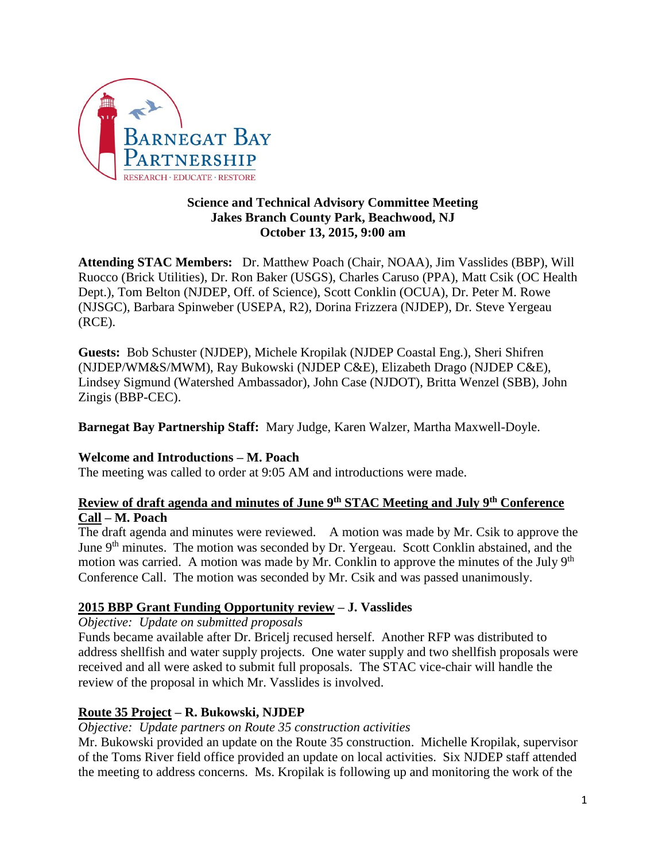

#### **Science and Technical Advisory Committee Meeting Jakes Branch County Park, Beachwood, NJ October 13, 2015, 9:00 am**

**Attending STAC Members:** Dr. Matthew Poach (Chair, NOAA), Jim Vasslides (BBP), Will Ruocco (Brick Utilities), Dr. Ron Baker (USGS), Charles Caruso (PPA), Matt Csik (OC Health Dept.), Tom Belton (NJDEP, Off. of Science), Scott Conklin (OCUA), Dr. Peter M. Rowe (NJSGC), Barbara Spinweber (USEPA, R2), Dorina Frizzera (NJDEP), Dr. Steve Yergeau (RCE).

**Guests:** Bob Schuster (NJDEP), Michele Kropilak (NJDEP Coastal Eng.), Sheri Shifren (NJDEP/WM&S/MWM), Ray Bukowski (NJDEP C&E), Elizabeth Drago (NJDEP C&E), Lindsey Sigmund (Watershed Ambassador), John Case (NJDOT), Britta Wenzel (SBB), John Zingis (BBP-CEC).

**Barnegat Bay Partnership Staff:** Mary Judge, Karen Walzer, Martha Maxwell-Doyle.

# **Welcome and Introductions – M. Poach**

The meeting was called to order at 9:05 AM and introductions were made.

# **Review of draft agenda and minutes of June 9th STAC Meeting and July 9th Conference Call – M. Poach**

The draft agenda and minutes were reviewed. A motion was made by Mr. Csik to approve the June 9<sup>th</sup> minutes. The motion was seconded by Dr. Yergeau. Scott Conklin abstained, and the motion was carried. A motion was made by Mr. Conklin to approve the minutes of the July  $9<sup>th</sup>$ Conference Call. The motion was seconded by Mr. Csik and was passed unanimously.

# **2015 BBP Grant Funding Opportunity review – J. Vasslides**

*Objective: Update on submitted proposals*

Funds became available after Dr. Bricelj recused herself. Another RFP was distributed to address shellfish and water supply projects. One water supply and two shellfish proposals were received and all were asked to submit full proposals. The STAC vice-chair will handle the review of the proposal in which Mr. Vasslides is involved.

# **Route 35 Project – R. Bukowski, NJDEP**

#### *Objective: Update partners on Route 35 construction activities*

Mr. Bukowski provided an update on the Route 35 construction. Michelle Kropilak, supervisor of the Toms River field office provided an update on local activities. Six NJDEP staff attended the meeting to address concerns. Ms. Kropilak is following up and monitoring the work of the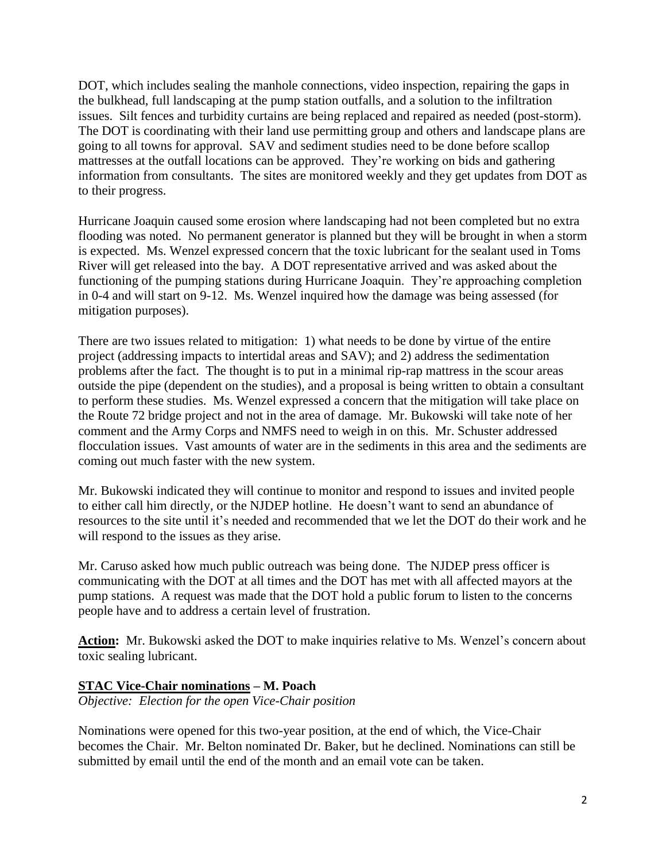DOT, which includes sealing the manhole connections, video inspection, repairing the gaps in the bulkhead, full landscaping at the pump station outfalls, and a solution to the infiltration issues. Silt fences and turbidity curtains are being replaced and repaired as needed (post-storm). The DOT is coordinating with their land use permitting group and others and landscape plans are going to all towns for approval. SAV and sediment studies need to be done before scallop mattresses at the outfall locations can be approved. They're working on bids and gathering information from consultants. The sites are monitored weekly and they get updates from DOT as to their progress.

Hurricane Joaquin caused some erosion where landscaping had not been completed but no extra flooding was noted. No permanent generator is planned but they will be brought in when a storm is expected. Ms. Wenzel expressed concern that the toxic lubricant for the sealant used in Toms River will get released into the bay. A DOT representative arrived and was asked about the functioning of the pumping stations during Hurricane Joaquin. They're approaching completion in 0-4 and will start on 9-12. Ms. Wenzel inquired how the damage was being assessed (for mitigation purposes).

There are two issues related to mitigation: 1) what needs to be done by virtue of the entire project (addressing impacts to intertidal areas and SAV); and 2) address the sedimentation problems after the fact. The thought is to put in a minimal rip-rap mattress in the scour areas outside the pipe (dependent on the studies), and a proposal is being written to obtain a consultant to perform these studies. Ms. Wenzel expressed a concern that the mitigation will take place on the Route 72 bridge project and not in the area of damage. Mr. Bukowski will take note of her comment and the Army Corps and NMFS need to weigh in on this. Mr. Schuster addressed flocculation issues. Vast amounts of water are in the sediments in this area and the sediments are coming out much faster with the new system.

Mr. Bukowski indicated they will continue to monitor and respond to issues and invited people to either call him directly, or the NJDEP hotline. He doesn't want to send an abundance of resources to the site until it's needed and recommended that we let the DOT do their work and he will respond to the issues as they arise.

Mr. Caruso asked how much public outreach was being done. The NJDEP press officer is communicating with the DOT at all times and the DOT has met with all affected mayors at the pump stations. A request was made that the DOT hold a public forum to listen to the concerns people have and to address a certain level of frustration.

**Action:** Mr. Bukowski asked the DOT to make inquiries relative to Ms. Wenzel's concern about toxic sealing lubricant.

# **STAC Vice-Chair nominations – M. Poach**

*Objective: Election for the open Vice-Chair position*

Nominations were opened for this two-year position, at the end of which, the Vice-Chair becomes the Chair. Mr. Belton nominated Dr. Baker, but he declined. Nominations can still be submitted by email until the end of the month and an email vote can be taken.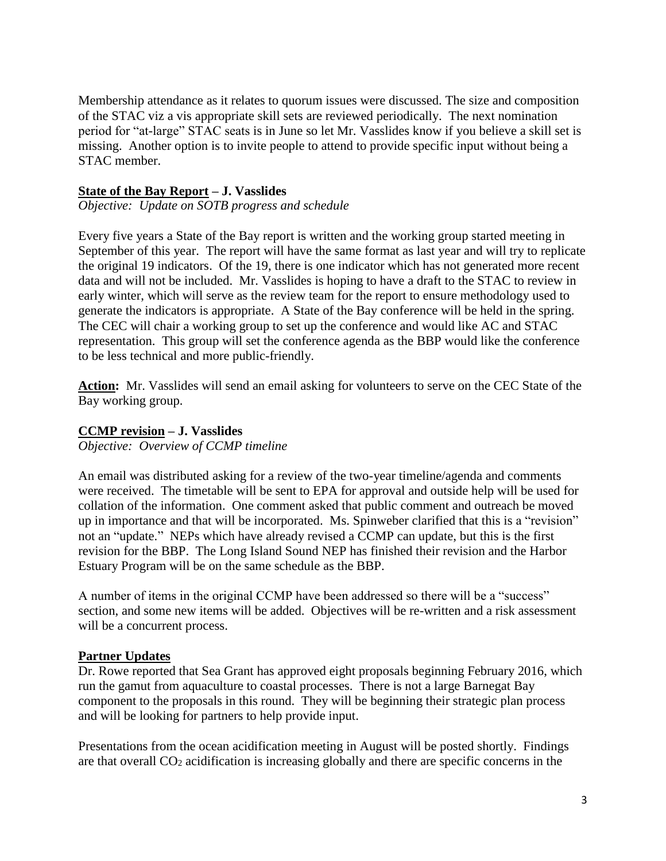Membership attendance as it relates to quorum issues were discussed. The size and composition of the STAC viz a vis appropriate skill sets are reviewed periodically. The next nomination period for "at-large" STAC seats is in June so let Mr. Vasslides know if you believe a skill set is missing. Another option is to invite people to attend to provide specific input without being a STAC member.

#### **State of the Bay Report – J. Vasslides**

*Objective: Update on SOTB progress and schedule*

Every five years a State of the Bay report is written and the working group started meeting in September of this year. The report will have the same format as last year and will try to replicate the original 19 indicators. Of the 19, there is one indicator which has not generated more recent data and will not be included. Mr. Vasslides is hoping to have a draft to the STAC to review in early winter, which will serve as the review team for the report to ensure methodology used to generate the indicators is appropriate. A State of the Bay conference will be held in the spring. The CEC will chair a working group to set up the conference and would like AC and STAC representation. This group will set the conference agenda as the BBP would like the conference to be less technical and more public-friendly.

**Action:** Mr. Vasslides will send an email asking for volunteers to serve on the CEC State of the Bay working group.

#### **CCMP revision – J. Vasslides**

*Objective: Overview of CCMP timeline*

An email was distributed asking for a review of the two-year timeline/agenda and comments were received. The timetable will be sent to EPA for approval and outside help will be used for collation of the information. One comment asked that public comment and outreach be moved up in importance and that will be incorporated. Ms. Spinweber clarified that this is a "revision" not an "update." NEPs which have already revised a CCMP can update, but this is the first revision for the BBP. The Long Island Sound NEP has finished their revision and the Harbor Estuary Program will be on the same schedule as the BBP.

A number of items in the original CCMP have been addressed so there will be a "success" section, and some new items will be added. Objectives will be re-written and a risk assessment will be a concurrent process.

#### **Partner Updates**

Dr. Rowe reported that Sea Grant has approved eight proposals beginning February 2016, which run the gamut from aquaculture to coastal processes. There is not a large Barnegat Bay component to the proposals in this round. They will be beginning their strategic plan process and will be looking for partners to help provide input.

Presentations from the ocean acidification meeting in August will be posted shortly. Findings are that overall  $CO<sub>2</sub>$  acidification is increasing globally and there are specific concerns in the